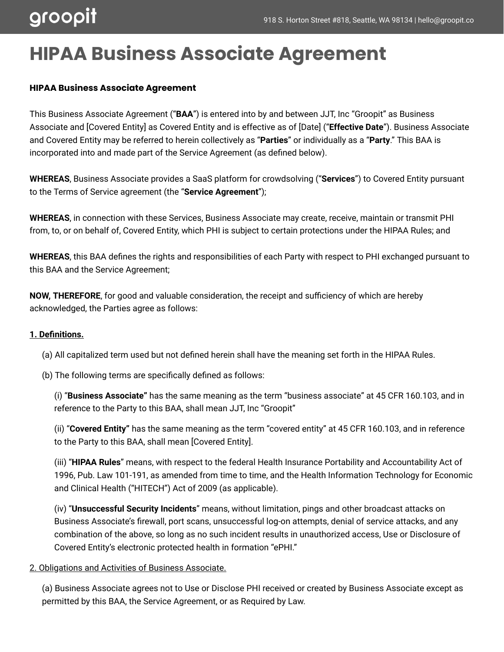## **HIPAA Business Associate Agreement**

#### **HIPAA Business Associate Agreement**

This Business Associate Agreement ("**BAA**") is entered into by and between JJT, Inc "Groopit" as Business Associate and [Covered Entity] as Covered Entity and is effective as of [Date] ("**Effective Date**"). Business Associate and Covered Entity may be referred to herein collectively as "**Parties**" or individually as a "**Party**." This BAA is incorporated into and made part of the Service Agreement (as defined below).

**WHEREAS**, Business Associate provides a SaaS platform for crowdsolving ("**Services**") to Covered Entity pursuant to the Terms of Service agreement (the "**Service Agreement**");

**WHEREAS**, in connection with these Services, Business Associate may create, receive, maintain or transmit PHI from, to, or on behalf of, Covered Entity, which PHI is subject to certain protections under the HIPAA Rules; and

**WHEREAS**, this BAA defines the rights and responsibilities of each Party with respect to PHI exchanged pursuant to this BAA and the Service Agreement;

**NOW, THEREFORE**, for good and valuable consideration, the receipt and sufficiency of which are hereby acknowledged, the Parties agree as follows:

#### **1. Definitions.**

(a) All capitalized term used but not defined herein shall have the meaning set forth in the HIPAA Rules.

(b) The following terms are specifically defined as follows:

(i) "**Business Associate"** has the same meaning as the term "business associate" at 45 CFR 160.103, and in reference to the Party to this BAA, shall mean JJT, Inc "Groopit"

(ii) "**Covered Entity"** has the same meaning as the term "covered entity" at 45 CFR 160.103, and in reference to the Party to this BAA, shall mean [Covered Entity].

(iii) "**HIPAA Rules**" means, with respect to the federal Health Insurance Portability and Accountability Act of 1996, Pub. Law 101-191, as amended from time to time, and the Health Information Technology for Economic and Clinical Health ("HITECH") Act of 2009 (as applicable).

(iv) "**Unsuccessful Security Incidents**" means, without limitation, pings and other broadcast attacks on Business Associate's firewall, port scans, unsuccessful log-on attempts, denial of service attacks, and any combination of the above, so long as no such incident results in unauthorized access, Use or Disclosure of Covered Entity's electronic protected health in formation "ePHI."

#### 2. Obligations and Activities of Business Associate.

(a) Business Associate agrees not to Use or Disclose PHI received or created by Business Associate except as permitted by this BAA, the Service Agreement, or as Required by Law.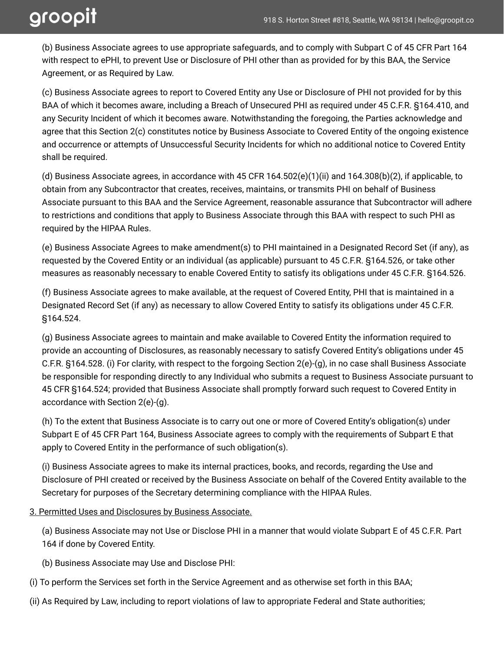(b) Business Associate agrees to use appropriate safeguards, and to comply with Subpart C of 45 CFR Part 164 with respect to ePHI, to prevent Use or Disclosure of PHI other than as provided for by this BAA, the Service Agreement, or as Required by Law.

(c) Business Associate agrees to report to Covered Entity any Use or Disclosure of PHI not provided for by this BAA of which it becomes aware, including a Breach of Unsecured PHI as required under 45 C.F.R. §164.410, and any Security Incident of which it becomes aware. Notwithstanding the foregoing, the Parties acknowledge and agree that this Section 2(c) constitutes notice by Business Associate to Covered Entity of the ongoing existence and occurrence or attempts of Unsuccessful Security Incidents for which no additional notice to Covered Entity shall be required.

(d) Business Associate agrees, in accordance with 45 CFR 164.502(e)(1)(ii) and 164.308(b)(2), if applicable, to obtain from any Subcontractor that creates, receives, maintains, or transmits PHI on behalf of Business Associate pursuant to this BAA and the Service Agreement, reasonable assurance that Subcontractor will adhere to restrictions and conditions that apply to Business Associate through this BAA with respect to such PHI as required by the HIPAA Rules.

(e) Business Associate Agrees to make amendment(s) to PHI maintained in a Designated Record Set (if any), as requested by the Covered Entity or an individual (as applicable) pursuant to 45 C.F.R. §164.526, or take other measures as reasonably necessary to enable Covered Entity to satisfy its obligations under 45 C.F.R. §164.526.

(f) Business Associate agrees to make available, at the request of Covered Entity, PHI that is maintained in a Designated Record Set (if any) as necessary to allow Covered Entity to satisfy its obligations under 45 C.F.R. §164.524.

(g) Business Associate agrees to maintain and make available to Covered Entity the information required to provide an accounting of Disclosures, as reasonably necessary to satisfy Covered Entity's obligations under 45 C.F.R. §164.528. (i) For clarity, with respect to the forgoing Section 2(e)-(g), in no case shall Business Associate be responsible for responding directly to any Individual who submits a request to Business Associate pursuant to 45 CFR §164.524; provided that Business Associate shall promptly forward such request to Covered Entity in accordance with Section 2(e)-(g).

(h) To the extent that Business Associate is to carry out one or more of Covered Entity's obligation(s) under Subpart E of 45 CFR Part 164, Business Associate agrees to comply with the requirements of Subpart E that apply to Covered Entity in the performance of such obligation(s).

(i) Business Associate agrees to make its internal practices, books, and records, regarding the Use and Disclosure of PHI created or received by the Business Associate on behalf of the Covered Entity available to the Secretary for purposes of the Secretary determining compliance with the HIPAA Rules.

3. Permitted Uses and Disclosures by Business Associate.

(a) Business Associate may not Use or Disclose PHI in a manner that would violate Subpart E of 45 C.F.R. Part 164 if done by Covered Entity.

- (b) Business Associate may Use and Disclose PHI:
- (i) To perform the Services set forth in the Service Agreement and as otherwise set forth in this BAA;
- (ii) As Required by Law, including to report violations of law to appropriate Federal and State authorities;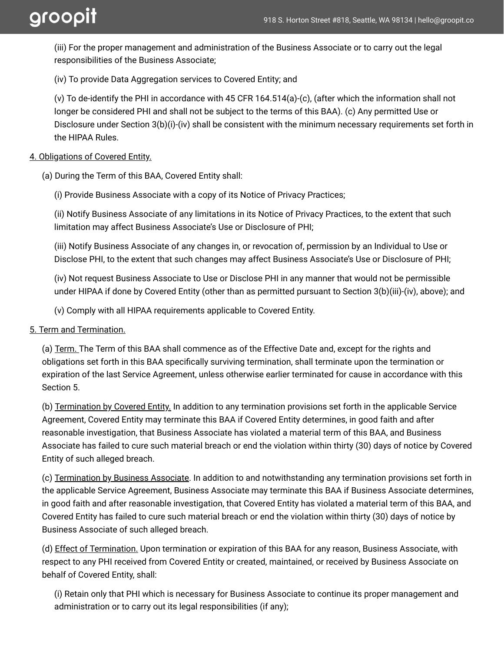(iii) For the proper management and administration of the Business Associate or to carry out the legal responsibilities of the Business Associate;

(iv) To provide Data Aggregation services to Covered Entity; and

(v) To de-identify the PHI in accordance with 45 CFR 164.514(a)-(c), (after which the information shall not longer be considered PHI and shall not be subject to the terms of this BAA). (c) Any permitted Use or Disclosure under Section 3(b)(i)-(iv) shall be consistent with the minimum necessary requirements set forth in the HIPAA Rules.

#### 4. Obligations of Covered Entity.

(a) During the Term of this BAA, Covered Entity shall:

(i) Provide Business Associate with a copy of its Notice of Privacy Practices;

(ii) Notify Business Associate of any limitations in its Notice of Privacy Practices, to the extent that such limitation may affect Business Associate's Use or Disclosure of PHI;

(iii) Notify Business Associate of any changes in, or revocation of, permission by an Individual to Use or Disclose PHI, to the extent that such changes may affect Business Associate's Use or Disclosure of PHI;

(iv) Not request Business Associate to Use or Disclose PHI in any manner that would not be permissible under HIPAA if done by Covered Entity (other than as permitted pursuant to Section 3(b)(iii)-(iv), above); and

(v) Comply with all HIPAA requirements applicable to Covered Entity.

#### 5. Term and Termination.

(a) Term. The Term of this BAA shall commence as of the Effective Date and, except for the rights and obligations set forth in this BAA specifically surviving termination, shall terminate upon the termination or expiration of the last Service Agreement, unless otherwise earlier terminated for cause in accordance with this Section 5.

(b) Termination by Covered Entity. In addition to any termination provisions set forth in the applicable Service Agreement, Covered Entity may terminate this BAA if Covered Entity determines, in good faith and after reasonable investigation, that Business Associate has violated a material term of this BAA, and Business Associate has failed to cure such material breach or end the violation within thirty (30) days of notice by Covered Entity of such alleged breach.

(c) Termination by Business Associate. In addition to and notwithstanding any termination provisions set forth in the applicable Service Agreement, Business Associate may terminate this BAA if Business Associate determines, in good faith and after reasonable investigation, that Covered Entity has violated a material term of this BAA, and Covered Entity has failed to cure such material breach or end the violation within thirty (30) days of notice by Business Associate of such alleged breach.

(d) Effect of Termination. Upon termination or expiration of this BAA for any reason, Business Associate, with respect to any PHI received from Covered Entity or created, maintained, or received by Business Associate on behalf of Covered Entity, shall:

(i) Retain only that PHI which is necessary for Business Associate to continue its proper management and administration or to carry out its legal responsibilities (if any);